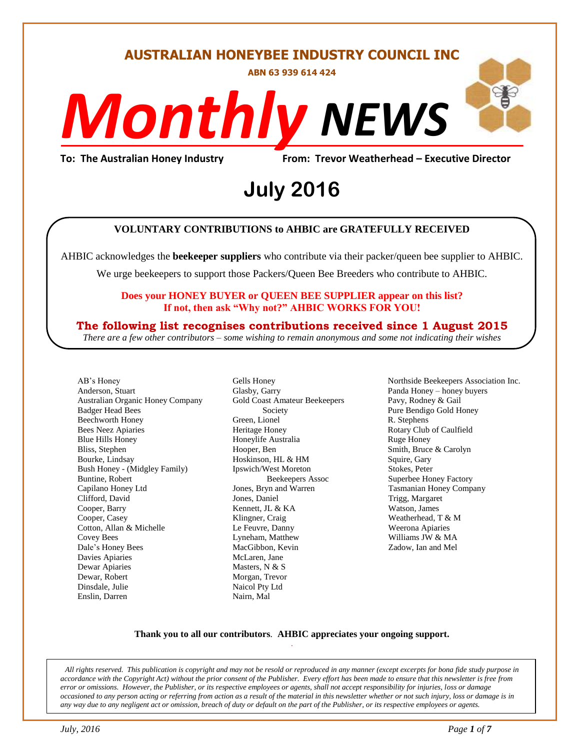#### **AUSTRALIAN HONEYBEE INDUSTRY COUNCIL INC**

**ABN 63 939 614 424**

# *NEWS Monthly*

## To: The Australian Honey Industry From: Trevor Weatherhead – Executive Director<br>**July 2016 July 2016**

#### **VOLUNTARY CONTRIBUTIONS to AHBIC are GRATEFULLY RECEIVED**

AHBIC acknowledges the **beekeeper suppliers** who contribute via their packer/queen bee supplier to AHBIC.

We urge beekeepers to support those Packers/Queen Bee Breeders who contribute to AHBIC.

#### **Does your HONEY BUYER or QUEEN BEE SUPPLIER appear on this list? If not, then ask "Why not?" AHBIC WORKS FOR YOU!**

#### **The following list recognises contributions received since 1 August 2015**

*There are a few other contributors – some wishing to remain anonymous and some not indicating their wishes*

AB's Honey Anderson, Stuart Australian Organic Honey Company Badger Head Bees Beechworth Honey Bees Neez Apiaries Blue Hills Honey Bliss, Stephen Bourke, Lindsay Bush Honey - (Midgley Family) Buntine, Robert Capilano Honey Ltd Clifford, David Cooper, Barry Cooper, Casey Cotton, Allan & Michelle Covey Bees Dale's Honey Bees Davies Apiaries Dewar Apiaries Dewar, Robert Dinsdale, Julie Enslin, Darren

Gells Honey Glasby, Garry Gold Coast Amateur Beekeepers Society Green, Lionel Heritage Honey Honeylife Australia Hooper, Ben Hoskinson, HL & HM Ipswich/West Moreton Beekeepers Assoc Jones, Bryn and Warren Jones, Daniel Kennett, JL & KA Klingner, Craig Le Feuvre, Danny Lyneham, Matthew MacGibbon, Kevin McLaren, Jane Masters, N & S Morgan, Trevor Naicol Pty Ltd Nairn, Mal

Northside Beekeepers Association Inc. Panda Honey – honey buyers Pavy, Rodney & Gail Pure Bendigo Gold Honey R. Stephens Rotary Club of Caulfield Ruge Honey Smith, Bruce & Carolyn Squire, Gary Stokes, Peter Superbee Honey Factory Tasmanian Honey Company Trigg, Margaret Watson, James Weatherhead, T & M Weerona Apiaries Williams JW & MA Zadow, Ian and Mel

#### **Thank you to all our contributors***.* **AHBIC appreciates your ongoing support.** .

*All rights reserved. This publication is copyright and may not be resold or reproduced in any manner (except excerpts for bona fide study purpose in accordance with the Copyright Act) without the prior consent of the Publisher. Every effort has been made to ensure that this newsletter is free from error or omissions. However, the Publisher, or its respective employees or agents, shall not accept responsibility for injuries, loss or damage occasioned to any person acting or referring from action as a result of the material in this newsletter whether or not such injury, loss or damage is in any way due to any negligent act or omission, breach of duty or default on the part of the Publisher, or its respective employees or agents.*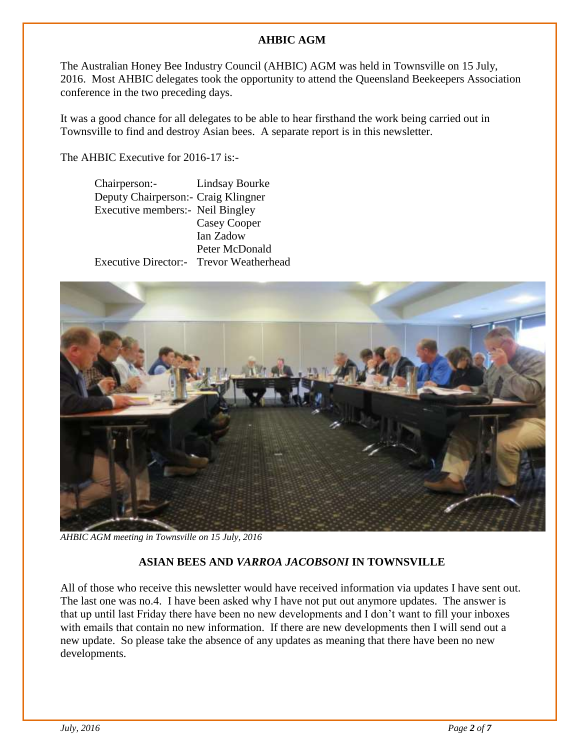#### **AHBIC AGM**

The Australian Honey Bee Industry Council (AHBIC) AGM was held in Townsville on 15 July, 2016. Most AHBIC delegates took the opportunity to attend the Queensland Beekeepers Association conference in the two preceding days.

It was a good chance for all delegates to be able to hear firsthand the work being carried out in Townsville to find and destroy Asian bees. A separate report is in this newsletter.

The AHBIC Executive for 2016-17 is:-

| Chairperson:-                                 | Lindsay Bourke |
|-----------------------------------------------|----------------|
| Deputy Chairperson: - Craig Klingner          |                |
| Executive members: Neil Bingley               |                |
|                                               | Casey Cooper   |
|                                               | Ian Zadow      |
|                                               | Peter McDonald |
| <b>Executive Director:</b> Trevor Weatherhead |                |
|                                               |                |



*AHBIC AGM meeting in Townsville on 15 July, 2016*

#### **ASIAN BEES AND** *VARROA JACOBSONI* **IN TOWNSVILLE**

All of those who receive this newsletter would have received information via updates I have sent out. The last one was no.4. I have been asked why I have not put out anymore updates. The answer is that up until last Friday there have been no new developments and I don't want to fill your inboxes with emails that contain no new information. If there are new developments then I will send out a new update. So please take the absence of any updates as meaning that there have been no new developments.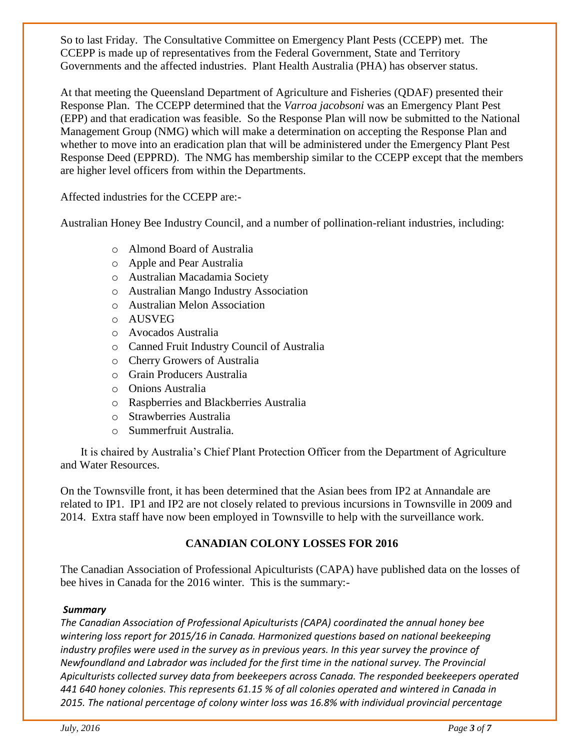So to last Friday. The Consultative Committee on Emergency Plant Pests (CCEPP) met. The CCEPP is made up of representatives from the Federal Government, State and Territory Governments and the affected industries. Plant Health Australia (PHA) has observer status.

At that meeting the Queensland Department of Agriculture and Fisheries (QDAF) presented their Response Plan. The CCEPP determined that the *Varroa jacobsoni* was an Emergency Plant Pest (EPP) and that eradication was feasible. So the Response Plan will now be submitted to the National Management Group (NMG) which will make a determination on accepting the Response Plan and whether to move into an eradication plan that will be administered under the Emergency Plant Pest Response Deed (EPPRD). The NMG has membership similar to the CCEPP except that the members are higher level officers from within the Departments.

Affected industries for the CCEPP are:-

Australian Honey Bee Industry Council, and a number of pollination-reliant industries, including:

- o Almond Board of Australia
- o Apple and Pear Australia
- o Australian Macadamia Society
- o Australian Mango Industry Association
- o Australian Melon Association
- o AUSVEG
- o Avocados Australia
- o Canned Fruit Industry Council of Australia
- o Cherry Growers of Australia
- o Grain Producers Australia
- o Onions Australia
- o Raspberries and Blackberries Australia
- o Strawberries Australia
- o Summerfruit Australia.

It is chaired by Australia's Chief Plant Protection Officer from the Department of Agriculture and Water Resources.

On the Townsville front, it has been determined that the Asian bees from IP2 at Annandale are related to IP1. IP1 and IP2 are not closely related to previous incursions in Townsville in 2009 and 2014. Extra staff have now been employed in Townsville to help with the surveillance work.

#### **CANADIAN COLONY LOSSES FOR 2016**

The Canadian Association of Professional Apiculturists (CAPA) have published data on the losses of bee hives in Canada for the 2016 winter. This is the summary:-

#### *Summary*

*The Canadian Association of Professional Apiculturists (CAPA) coordinated the annual honey bee wintering loss report for 2015/16 in Canada. Harmonized questions based on national beekeeping industry profiles were used in the survey as in previous years. In this year survey the province of Newfoundland and Labrador was included for the first time in the national survey. The Provincial Apiculturists collected survey data from beekeepers across Canada. The responded beekeepers operated 441 640 honey colonies. This represents 61.15 % of all colonies operated and wintered in Canada in 2015. The national percentage of colony winter loss was 16.8% with individual provincial percentage*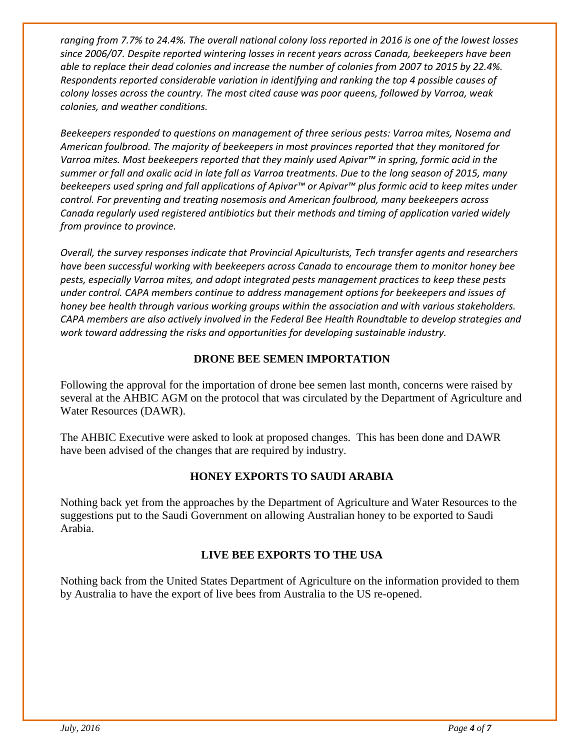*ranging from 7.7% to 24.4%. The overall national colony loss reported in 2016 is one of the lowest losses since 2006/07. Despite reported wintering losses in recent years across Canada, beekeepers have been able to replace their dead colonies and increase the number of colonies from 2007 to 2015 by 22.4%. Respondents reported considerable variation in identifying and ranking the top 4 possible causes of colony losses across the country. The most cited cause was poor queens, followed by Varroa, weak colonies, and weather conditions.* 

*Beekeepers responded to questions on management of three serious pests: Varroa mites, Nosema and American foulbrood. The majority of beekeepers in most provinces reported that they monitored for Varroa mites. Most beekeepers reported that they mainly used Apivar™ in spring, formic acid in the summer or fall and oxalic acid in late fall as Varroa treatments. Due to the long season of 2015, many beekeepers used spring and fall applications of Apivar™ or Apivar™ plus formic acid to keep mites under control. For preventing and treating nosemosis and American foulbrood, many beekeepers across Canada regularly used registered antibiotics but their methods and timing of application varied widely from province to province.* 

*Overall, the survey responses indicate that Provincial Apiculturists, Tech transfer agents and researchers have been successful working with beekeepers across Canada to encourage them to monitor honey bee pests, especially Varroa mites, and adopt integrated pests management practices to keep these pests under control. CAPA members continue to address management options for beekeepers and issues of honey bee health through various working groups within the association and with various stakeholders. CAPA members are also actively involved in the Federal Bee Health Roundtable to develop strategies and work toward addressing the risks and opportunities for developing sustainable industry.*

#### **DRONE BEE SEMEN IMPORTATION**

Following the approval for the importation of drone bee semen last month, concerns were raised by several at the AHBIC AGM on the protocol that was circulated by the Department of Agriculture and Water Resources (DAWR).

The AHBIC Executive were asked to look at proposed changes. This has been done and DAWR have been advised of the changes that are required by industry.

#### **HONEY EXPORTS TO SAUDI ARABIA**

Nothing back yet from the approaches by the Department of Agriculture and Water Resources to the suggestions put to the Saudi Government on allowing Australian honey to be exported to Saudi Arabia.

#### **LIVE BEE EXPORTS TO THE USA**

Nothing back from the United States Department of Agriculture on the information provided to them by Australia to have the export of live bees from Australia to the US re-opened.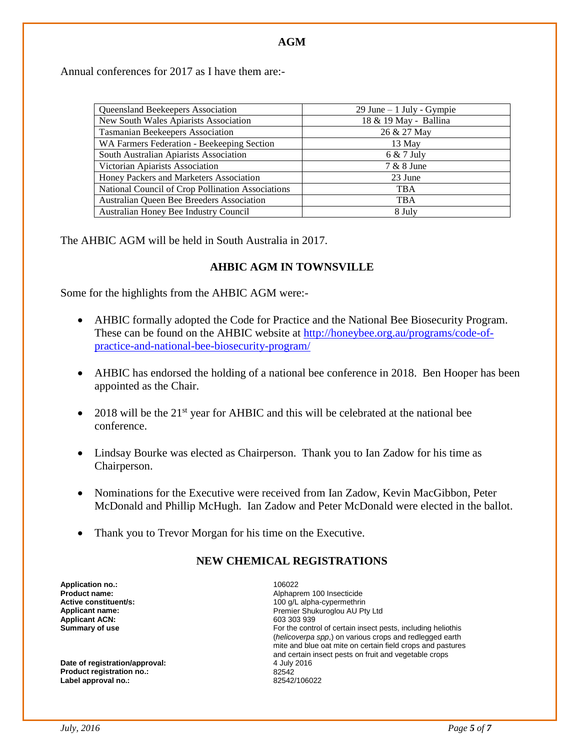#### **AGM**

Annual conferences for 2017 as I have them are:-

| Queensland Beekeepers Association                 | $29$ June $-1$ July - Gympie |
|---------------------------------------------------|------------------------------|
| New South Wales Apiarists Association             | 18 & 19 May - Ballina        |
| <b>Tasmanian Beekeepers Association</b>           | 26 & 27 May                  |
| WA Farmers Federation - Beekeeping Section        | 13 May                       |
| South Australian Apiarists Association            | $6 & 7$ July                 |
| Victorian Apiarists Association                   | 7 & 8 June                   |
| Honey Packers and Marketers Association           | 23 June                      |
| National Council of Crop Pollination Associations | <b>TBA</b>                   |
| Australian Queen Bee Breeders Association         | <b>TBA</b>                   |
| Australian Honey Bee Industry Council             | 8 July                       |

The AHBIC AGM will be held in South Australia in 2017.

#### **AHBIC AGM IN TOWNSVILLE**

Some for the highlights from the AHBIC AGM were:-

- AHBIC formally adopted the Code for Practice and the National Bee Biosecurity Program. These can be found on the AHBIC website at [http://honeybee.org.au/programs/code-of](http://honeybee.org.au/programs/code-of-practice-and-national-bee-biosecurity-program/)[practice-and-national-bee-biosecurity-program/](http://honeybee.org.au/programs/code-of-practice-and-national-bee-biosecurity-program/)
- AHBIC has endorsed the holding of a national bee conference in 2018. Ben Hooper has been appointed as the Chair.
- $\bullet$  2018 will be the 21<sup>st</sup> year for AHBIC and this will be celebrated at the national bee conference.
- Lindsay Bourke was elected as Chairperson. Thank you to Ian Zadow for his time as Chairperson.
- Nominations for the Executive were received from Ian Zadow, Kevin MacGibbon, Peter McDonald and Phillip McHugh. Ian Zadow and Peter McDonald were elected in the ballot.
- Thank you to Trevor Morgan for his time on the Executive.

#### **NEW CHEMICAL REGISTRATIONS**

**Application no.:** 106022 **Applicant ACN:** 603 303 939<br> **Summary of use According to the CONN CONN CONN For the control** 

**Date of registration/approval: Product registration no.:** 82542 Label approval no.:

**Product name: Alphaprem 100 Insecticide**<br> **Active constituent/s: Active constituent/s: Active constituent/s: Alpha-cypermethric Active constituent/s:** <br> **Applicant name:** <br> **Applicant name:** <br> **Applicant name:** <br> **Applicant name:** <br> **Applicant name:** <br> **Applicant name:** <br> **Applicant name:** <br> **Applicant name:** <br> **ADPI** Premier Shukuroglou AU Pty Ltd For the control of certain insect pests, including heliothis (*helicoverpa spp*,) on various crops and redlegged earth mite and blue oat mite on certain field crops and pastures and certain insect pests on fruit and vegetable crops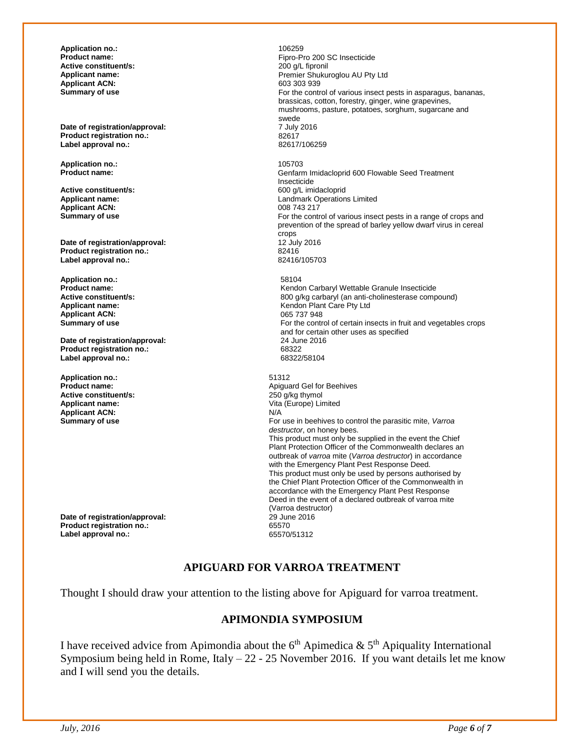**Application no.:** 106259 **Active constituent/s:**<br>Applicant name: **Applicant ACN:**<br>Summary of use

**Date of registration/approval:** 7 July 2016 2017 7 July 2016 **Product registration no.:** 82617 **Label approval no.:** 

**Application no.:** 105703

**Active constituent/s:**<br>Applicant name: **Applicant ACN:**<br>Summary of use

**Date of registration/approval:** 12 July 2016<br> **Product registration no.:** 82416 **Product registration no.:** 82416 **Label approval no.:** 

**Application no.:** 58104 **Applicant ACN:**<br>Summary of use

**Date of registration/approval:** 24 June 24 June 2016 **Product registration no.:** 68322 Label approval no.:

**Application no.:** 51312<br> **Product name:** Apidual Application Application Application Application Application Application Application Application Application Application Application Application Application Application Appl **Active constituent/s: Applicant name:**  $\frac{V}{A}$  **Applicant name:**  $\frac{V}{A}$  **Vita (Europe) Limited Applicant ACN:**<br>Summary of use

**Date of registration/approval:** 29 June 2016<br> **Product registration no.:** 65570 **Product registration no.: Label approval no.:** 65570/51312

Fipro-Pro 200 SC Insecticide<br>200 g/L fipronil Premier Shukuroglou AU Pty Ltd 603 303 939 For the control of various insect pests in asparagus, bananas, brassicas, cotton, forestry, ginger, wine grapevines, mushrooms, pasture, potatoes, sorghum, sugarcane and swede<br>7 July 2016 **Product name:** Genfarm Imidacloprid 600 Flowable Seed Treatment Insecticide<br>600 q/L imidacloprid Landmark Operations Limited<br>008 743 217 For the control of various insect pests in a range of crops and prevention of the spread of barley yellow dwarf virus in cereal crops<br>12 July 2016 **Product name:**<br> **Active constituent/s:**<br> **Active constituent/s:**<br> **Active constituent/s:**<br> **Active constituent/s:**<br> **Active constituent/s: Active constituent/s:** <br>**Applicant name: Applicant name: 800 g/kg carbaryl (an anti-cholinesterase compound)**<br>**Applicant name: Applicant name: Applicant name: Applicant name: Applicant name: Applicant name:** Kendon Plant Care Pty Ltd<br>065 737 948 For the control of certain insects in fruit and vegetables crops and for certain other uses as specified Apiguard Gel for Beehives<br>250 q/kg thymol **Summary of use** For use in beehives to control the parasitic mite, *Varroa destructor*, on honey bees. This product must only be supplied in the event the Chief Plant Protection Officer of the Commonwealth declares an outbreak of *varroa* mite (*Varroa destructor*) in accordance with the Emergency Plant Pest Response Deed. This product must only be used by persons authorised by the Chief Plant Protection Officer of the Commonwealth in accordance with the Emergency Plant Pest Response Deed in the event of a declared outbreak of varroa mite (Varroa destructor)

#### **APIGUARD FOR VARROA TREATMENT**

Thought I should draw your attention to the listing above for Apiguard for varroa treatment.

#### **APIMONDIA SYMPOSIUM**

I have received advice from Apimondia about the  $6<sup>th</sup>$  Apimedica &  $5<sup>th</sup>$  Apiquality International Symposium being held in Rome, Italy  $-22 - 25$  November 2016. If you want details let me know and I will send you the details.